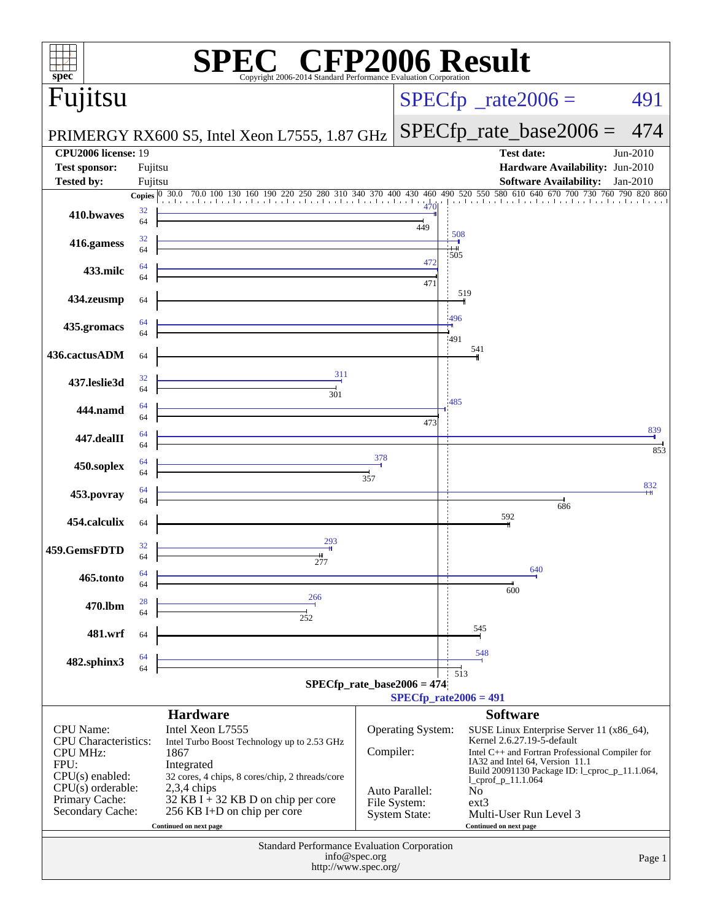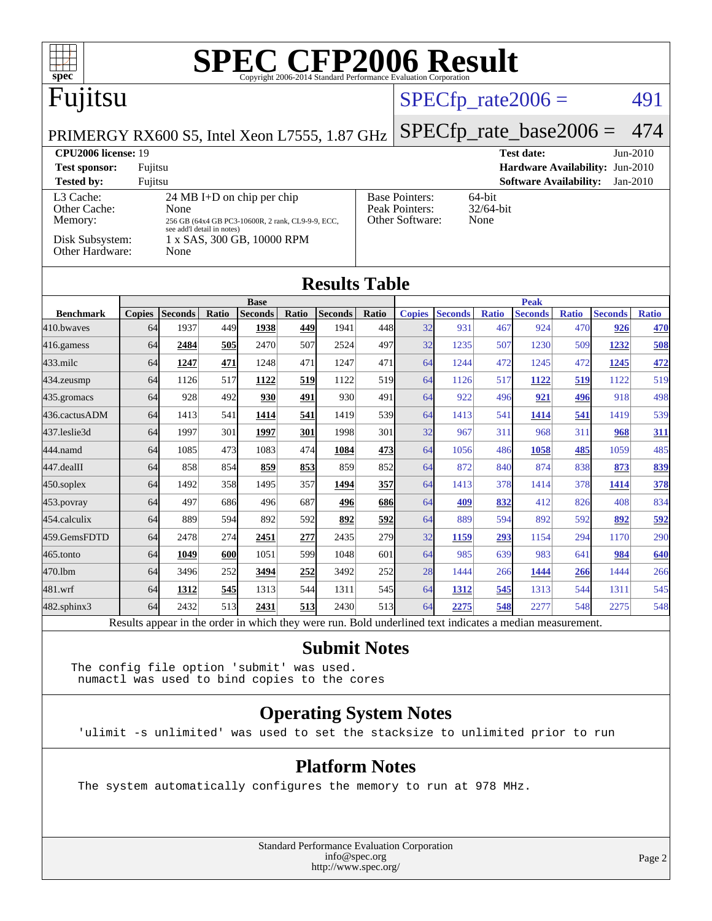| SPECCEP2006 Result Topyright 2006-2014 Standard Performance Evaluation Corporation<br>$spec^*$ |                                                                           |                |       |                |                                                        |                                 |       |               |                           |              |                |              |                |              |
|------------------------------------------------------------------------------------------------|---------------------------------------------------------------------------|----------------|-------|----------------|--------------------------------------------------------|---------------------------------|-------|---------------|---------------------------|--------------|----------------|--------------|----------------|--------------|
| Fujitsu                                                                                        |                                                                           |                |       |                |                                                        |                                 |       |               | $SPECfp\_rate2006 =$      |              |                | 491          |                |              |
| PRIMERGY RX600 S5, Intel Xeon L7555, 1.87 GHz                                                  |                                                                           |                |       |                |                                                        |                                 |       |               | $SPECfp_rate\_base2006 =$ |              |                | 474          |                |              |
| CPU2006 license: 19                                                                            |                                                                           |                |       |                |                                                        | <b>Test date:</b><br>$Jun-2010$ |       |               |                           |              |                |              |                |              |
| Hardware Availability: Jun-2010<br><b>Test sponsor:</b><br>Fujitsu                             |                                                                           |                |       |                |                                                        |                                 |       |               |                           |              |                |              |                |              |
| <b>Software Availability:</b><br><b>Tested by:</b><br>Fujitsu<br>Jan-2010                      |                                                                           |                |       |                |                                                        |                                 |       |               |                           |              |                |              |                |              |
| L3 Cache:<br>24 MB I+D on chip per chip                                                        |                                                                           |                |       |                | <b>Base Pointers:</b><br>64-bit                        |                                 |       |               |                           |              |                |              |                |              |
| Memory:                                                                                        | Other Cache:<br>None<br>256 GB (64x4 GB PC3-10600R, 2 rank, CL9-9-9, ECC, |                |       |                | Peak Pointers:<br>32/64-bit<br>Other Software:<br>None |                                 |       |               |                           |              |                |              |                |              |
| see add'l detail in notes)<br>Disk Subsystem:<br>1 x SAS, 300 GB, 10000 RPM                    |                                                                           |                |       |                |                                                        |                                 |       |               |                           |              |                |              |                |              |
| Other Hardware:<br>None                                                                        |                                                                           |                |       |                |                                                        |                                 |       |               |                           |              |                |              |                |              |
|                                                                                                |                                                                           |                |       |                |                                                        |                                 |       |               |                           |              |                |              |                |              |
|                                                                                                |                                                                           |                |       |                |                                                        | <b>Results Table</b>            |       |               |                           |              |                |              |                |              |
|                                                                                                |                                                                           |                |       | <b>Base</b>    |                                                        |                                 |       |               |                           |              | <b>Peak</b>    |              |                |              |
| <b>Benchmark</b>                                                                               | <b>Copies</b>                                                             | <b>Seconds</b> | Ratio | <b>Seconds</b> | Ratio                                                  | <b>Seconds</b>                  | Ratio | <b>Copies</b> | <b>Seconds</b>            | <b>Ratio</b> | <b>Seconds</b> | <b>Ratio</b> | <b>Seconds</b> | <b>Ratio</b> |
| 410.bwayes                                                                                     | 64                                                                        | 1937           | 449   | 1938           | 449                                                    | 1941                            | 448   | 32            | 931                       | 467          | 924            | 470          | 926            | 470          |
| 416.gamess                                                                                     | 64                                                                        | 2484           | 505   | 2470           | 507                                                    | 2524                            | 497   | 32            | 1235                      | 507          | 1230           | 509          | 1232           | 508          |
| 433.milc                                                                                       | 64                                                                        | 1247           | 471   | 1248           | 471                                                    | 1247                            | 471   | 64            | 1244                      | 472          | 1245           | 472          | 1245           | 472          |
| 434.zeusmp                                                                                     | 64                                                                        | 1126           | 517   | 1122           | 519                                                    | 1122                            | 519   | 64            | 1126                      | 517          | 1122           | 519          | 1122           | 519          |
| 435.gromacs                                                                                    | 64                                                                        | 928            | 492   | 930            | 491                                                    | 930                             | 491   | 64            | 922                       | 496          | 921            | 496          | 918            | 498          |
| 436.cactusADM                                                                                  | 64                                                                        | 1413           | 541   | 1414           | 541                                                    | 1419                            | 539   | 64            | 1413                      | 541          | <b>1414</b>    | 541          | 1419           | 539          |
| 437.leslie3d                                                                                   | 64                                                                        | 1997           | 301   | 1997           | 301                                                    | 1998                            | 301   | 32            | 967                       | 311          | 968            | 311          | 968            | 311          |
| 444.namd                                                                                       | 64                                                                        | 1085           | 473   | 1083           | 474                                                    | 1084                            | 473   | 64            | 1056                      | 486          | 1058           | 485          | 1059           | 485          |
| 447.dealII                                                                                     | 64                                                                        | 858            | 854   | 859            | 853                                                    | 859                             | 852   | 64            | 872                       | 840          | 874            | 838          | 873            | 839          |
| 450.soplex                                                                                     | 64                                                                        | 1492           | 358   | 1495           | 357                                                    | 1494                            | 357   | 64            | 1413                      | 378          | 1414           | 378          | 1414           | 378          |
| 453.povray                                                                                     | 64                                                                        | 497            | 686   | 496            | 687                                                    | 496                             | 686   | 64            | 409                       | 832          | 412            | 826          | 408            | 834          |
| 454.calculix                                                                                   | 64                                                                        | 889            | 594   | 892            | 592                                                    | 892                             | 592   | 64            | 889                       | 594          | 892            | 592          | 892            | 592          |
| 459.GemsFDTD                                                                                   | 64                                                                        | 2478           | 274   | 2451           | 277                                                    | 2435                            | 279   | 32            | 1159                      | 293          | 1154           | 294          | 1170           | 290          |
| 465.tonto                                                                                      | 64                                                                        | 1049           | 600   | 1051           | 599                                                    | 1048                            | 601   | 64            | 985                       | 639          | 983            | 641          | 984            | 640          |
| 470.1bm                                                                                        | 64                                                                        | 3496           | 252   | 3494           | 252                                                    | 3492                            | 252   | 28            | 1444                      | 266          | 1444           | 266          | 1444           | 266          |

[482.sphinx3](http://www.spec.org/auto/cpu2006/Docs/482.sphinx3.html) 64 2432 513 **[2431](http://www.spec.org/auto/cpu2006/Docs/result-fields.html#Median) [513](http://www.spec.org/auto/cpu2006/Docs/result-fields.html#Median)** 2430 513 64 **[2275](http://www.spec.org/auto/cpu2006/Docs/result-fields.html#Median) [548](http://www.spec.org/auto/cpu2006/Docs/result-fields.html#Median)** 2277 548 2275 548 Results appear in the [order in which they were run.](http://www.spec.org/auto/cpu2006/Docs/result-fields.html#RunOrder) Bold underlined text [indicates a median measurement.](http://www.spec.org/auto/cpu2006/Docs/result-fields.html#Median)

[481.wrf](http://www.spec.org/auto/cpu2006/Docs/481.wrf.html) 64 **[1312](http://www.spec.org/auto/cpu2006/Docs/result-fields.html#Median) [545](http://www.spec.org/auto/cpu2006/Docs/result-fields.html#Median)** 1313 544 1311 545 64 **[1312](http://www.spec.org/auto/cpu2006/Docs/result-fields.html#Median) [545](http://www.spec.org/auto/cpu2006/Docs/result-fields.html#Median)** 1313 544 1311 545

#### **[Submit Notes](http://www.spec.org/auto/cpu2006/Docs/result-fields.html#SubmitNotes)**

The config file option 'submit' was used. numactl was used to bind copies to the cores

### **[Operating System Notes](http://www.spec.org/auto/cpu2006/Docs/result-fields.html#OperatingSystemNotes)**

'ulimit -s unlimited' was used to set the stacksize to unlimited prior to run

### **[Platform Notes](http://www.spec.org/auto/cpu2006/Docs/result-fields.html#PlatformNotes)**

The system automatically configures the memory to run at 978 MHz.

Standard Performance Evaluation Corporation [info@spec.org](mailto:info@spec.org) <http://www.spec.org/>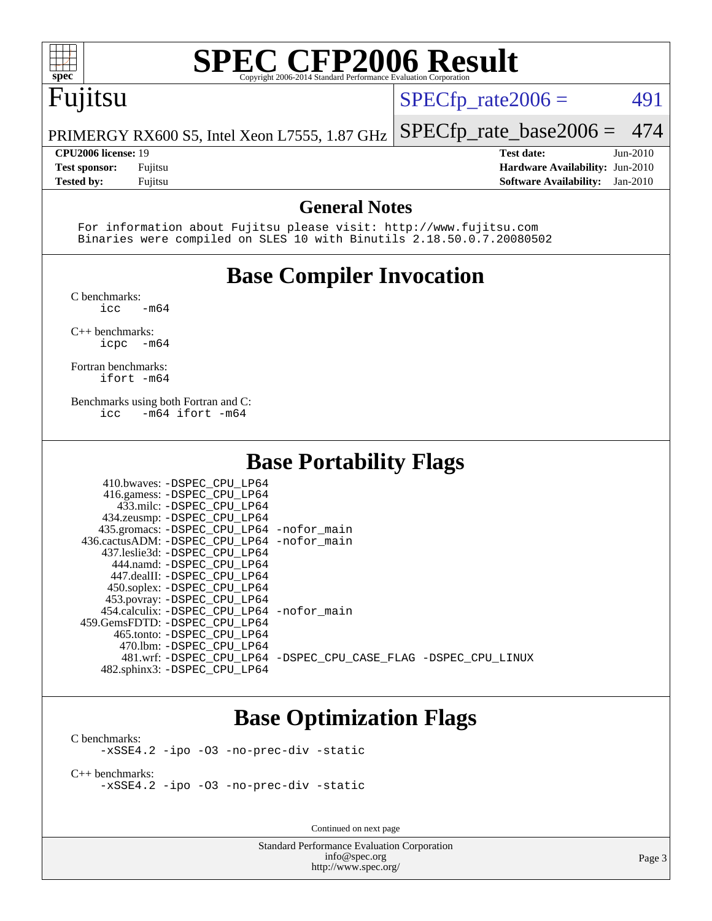# Fujitsu

 $SPECTp_rate2006 =$  491

[SPECfp\\_rate\\_base2006 =](http://www.spec.org/auto/cpu2006/Docs/result-fields.html#SPECfpratebase2006) 474

PRIMERGY RX600 S5, Intel Xeon L7555, 1.87 GHz

**[CPU2006 license:](http://www.spec.org/auto/cpu2006/Docs/result-fields.html#CPU2006license)** 19 **[Test date:](http://www.spec.org/auto/cpu2006/Docs/result-fields.html#Testdate)** Jun-2010 **[Test sponsor:](http://www.spec.org/auto/cpu2006/Docs/result-fields.html#Testsponsor)** Fujitsu **[Hardware Availability:](http://www.spec.org/auto/cpu2006/Docs/result-fields.html#HardwareAvailability)** Jun-2010 **[Tested by:](http://www.spec.org/auto/cpu2006/Docs/result-fields.html#Testedby)** Fujitsu **[Software Availability:](http://www.spec.org/auto/cpu2006/Docs/result-fields.html#SoftwareAvailability)** Jan-2010

### **[General Notes](http://www.spec.org/auto/cpu2006/Docs/result-fields.html#GeneralNotes)**

 For information about Fujitsu please visit: <http://www.fujitsu.com> Binaries were compiled on SLES 10 with Binutils 2.18.50.0.7.20080502

### **[Base Compiler Invocation](http://www.spec.org/auto/cpu2006/Docs/result-fields.html#BaseCompilerInvocation)**

[C benchmarks](http://www.spec.org/auto/cpu2006/Docs/result-fields.html#Cbenchmarks):

 $\frac{1}{2}$ cc  $-\text{m64}$ 

[C++ benchmarks:](http://www.spec.org/auto/cpu2006/Docs/result-fields.html#CXXbenchmarks) [icpc -m64](http://www.spec.org/cpu2006/results/res2010q3/cpu2006-20100702-12052.flags.html#user_CXXbase_intel_icpc_64bit_bedb90c1146cab66620883ef4f41a67e)

[Fortran benchmarks](http://www.spec.org/auto/cpu2006/Docs/result-fields.html#Fortranbenchmarks): [ifort -m64](http://www.spec.org/cpu2006/results/res2010q3/cpu2006-20100702-12052.flags.html#user_FCbase_intel_ifort_64bit_ee9d0fb25645d0210d97eb0527dcc06e)

[Benchmarks using both Fortran and C](http://www.spec.org/auto/cpu2006/Docs/result-fields.html#BenchmarksusingbothFortranandC): [icc -m64](http://www.spec.org/cpu2006/results/res2010q3/cpu2006-20100702-12052.flags.html#user_CC_FCbase_intel_icc_64bit_0b7121f5ab7cfabee23d88897260401c) [ifort -m64](http://www.spec.org/cpu2006/results/res2010q3/cpu2006-20100702-12052.flags.html#user_CC_FCbase_intel_ifort_64bit_ee9d0fb25645d0210d97eb0527dcc06e)

### **[Base Portability Flags](http://www.spec.org/auto/cpu2006/Docs/result-fields.html#BasePortabilityFlags)**

| 410.bwaves: -DSPEC CPU LP64                |                                                                |
|--------------------------------------------|----------------------------------------------------------------|
| 416.gamess: -DSPEC_CPU_LP64                |                                                                |
| 433.milc: -DSPEC CPU LP64                  |                                                                |
| 434.zeusmp: -DSPEC_CPU_LP64                |                                                                |
| 435.gromacs: -DSPEC_CPU_LP64 -nofor_main   |                                                                |
| 436.cactusADM: -DSPEC_CPU_LP64 -nofor main |                                                                |
| 437.leslie3d: -DSPEC CPU LP64              |                                                                |
| 444.namd: -DSPEC CPU LP64                  |                                                                |
| 447.dealII: -DSPEC_CPU LP64                |                                                                |
| 450.soplex: -DSPEC CPU LP64                |                                                                |
| 453.povray: -DSPEC_CPU_LP64                |                                                                |
| 454.calculix: -DSPEC_CPU_LP64 -nofor_main  |                                                                |
| 459.GemsFDTD: -DSPEC CPU LP64              |                                                                |
| 465.tonto: -DSPEC CPU LP64                 |                                                                |
| 470.1bm: -DSPEC CPU LP64                   |                                                                |
|                                            | 481.wrf: -DSPEC CPU_LP64 -DSPEC_CPU_CASE_FLAG -DSPEC_CPU_LINUX |
| 482.sphinx3: -DSPEC_CPU_LP64               |                                                                |

### **[Base Optimization Flags](http://www.spec.org/auto/cpu2006/Docs/result-fields.html#BaseOptimizationFlags)**

[C benchmarks](http://www.spec.org/auto/cpu2006/Docs/result-fields.html#Cbenchmarks): [-xSSE4.2](http://www.spec.org/cpu2006/results/res2010q3/cpu2006-20100702-12052.flags.html#user_CCbase_f-xSSE42_f91528193cf0b216347adb8b939d4107) [-ipo](http://www.spec.org/cpu2006/results/res2010q3/cpu2006-20100702-12052.flags.html#user_CCbase_f-ipo) [-O3](http://www.spec.org/cpu2006/results/res2010q3/cpu2006-20100702-12052.flags.html#user_CCbase_f-O3) [-no-prec-div](http://www.spec.org/cpu2006/results/res2010q3/cpu2006-20100702-12052.flags.html#user_CCbase_f-no-prec-div) [-static](http://www.spec.org/cpu2006/results/res2010q3/cpu2006-20100702-12052.flags.html#user_CCbase_f-static)

[C++ benchmarks:](http://www.spec.org/auto/cpu2006/Docs/result-fields.html#CXXbenchmarks) [-xSSE4.2](http://www.spec.org/cpu2006/results/res2010q3/cpu2006-20100702-12052.flags.html#user_CXXbase_f-xSSE42_f91528193cf0b216347adb8b939d4107) [-ipo](http://www.spec.org/cpu2006/results/res2010q3/cpu2006-20100702-12052.flags.html#user_CXXbase_f-ipo) [-O3](http://www.spec.org/cpu2006/results/res2010q3/cpu2006-20100702-12052.flags.html#user_CXXbase_f-O3) [-no-prec-div](http://www.spec.org/cpu2006/results/res2010q3/cpu2006-20100702-12052.flags.html#user_CXXbase_f-no-prec-div) [-static](http://www.spec.org/cpu2006/results/res2010q3/cpu2006-20100702-12052.flags.html#user_CXXbase_f-static)

Continued on next page

Standard Performance Evaluation Corporation [info@spec.org](mailto:info@spec.org) <http://www.spec.org/>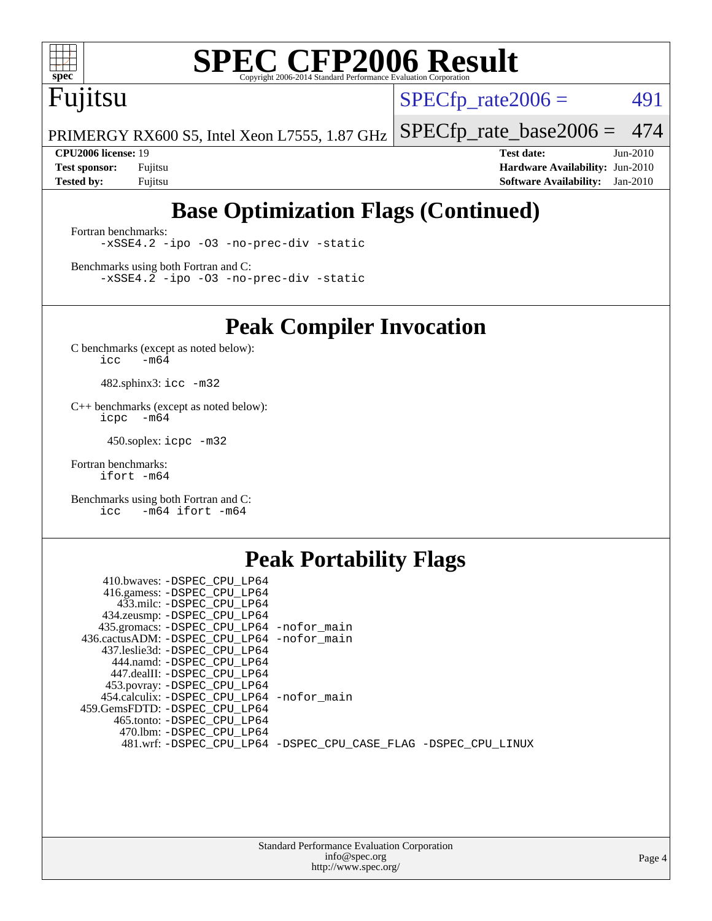

# Fujitsu

 $SPECTp_rate2006 =$  491

PRIMERGY RX600 S5, Intel Xeon L7555, 1.87 GHz [SPECfp\\_rate\\_base2006 =](http://www.spec.org/auto/cpu2006/Docs/result-fields.html#SPECfpratebase2006) 474

**[CPU2006 license:](http://www.spec.org/auto/cpu2006/Docs/result-fields.html#CPU2006license)** 19 **[Test date:](http://www.spec.org/auto/cpu2006/Docs/result-fields.html#Testdate)** Jun-2010 **[Test sponsor:](http://www.spec.org/auto/cpu2006/Docs/result-fields.html#Testsponsor)** Fujitsu **[Hardware Availability:](http://www.spec.org/auto/cpu2006/Docs/result-fields.html#HardwareAvailability)** Jun-2010 **[Tested by:](http://www.spec.org/auto/cpu2006/Docs/result-fields.html#Testedby)** Fujitsu **[Software Availability:](http://www.spec.org/auto/cpu2006/Docs/result-fields.html#SoftwareAvailability)** Jan-2010

## **[Base Optimization Flags \(Continued\)](http://www.spec.org/auto/cpu2006/Docs/result-fields.html#BaseOptimizationFlags)**

[Fortran benchmarks](http://www.spec.org/auto/cpu2006/Docs/result-fields.html#Fortranbenchmarks): [-xSSE4.2](http://www.spec.org/cpu2006/results/res2010q3/cpu2006-20100702-12052.flags.html#user_FCbase_f-xSSE42_f91528193cf0b216347adb8b939d4107) [-ipo](http://www.spec.org/cpu2006/results/res2010q3/cpu2006-20100702-12052.flags.html#user_FCbase_f-ipo) [-O3](http://www.spec.org/cpu2006/results/res2010q3/cpu2006-20100702-12052.flags.html#user_FCbase_f-O3) [-no-prec-div](http://www.spec.org/cpu2006/results/res2010q3/cpu2006-20100702-12052.flags.html#user_FCbase_f-no-prec-div) [-static](http://www.spec.org/cpu2006/results/res2010q3/cpu2006-20100702-12052.flags.html#user_FCbase_f-static)

[Benchmarks using both Fortran and C](http://www.spec.org/auto/cpu2006/Docs/result-fields.html#BenchmarksusingbothFortranandC): [-xSSE4.2](http://www.spec.org/cpu2006/results/res2010q3/cpu2006-20100702-12052.flags.html#user_CC_FCbase_f-xSSE42_f91528193cf0b216347adb8b939d4107) [-ipo](http://www.spec.org/cpu2006/results/res2010q3/cpu2006-20100702-12052.flags.html#user_CC_FCbase_f-ipo) [-O3](http://www.spec.org/cpu2006/results/res2010q3/cpu2006-20100702-12052.flags.html#user_CC_FCbase_f-O3) [-no-prec-div](http://www.spec.org/cpu2006/results/res2010q3/cpu2006-20100702-12052.flags.html#user_CC_FCbase_f-no-prec-div) [-static](http://www.spec.org/cpu2006/results/res2010q3/cpu2006-20100702-12052.flags.html#user_CC_FCbase_f-static)

**[Peak Compiler Invocation](http://www.spec.org/auto/cpu2006/Docs/result-fields.html#PeakCompilerInvocation)**

[C benchmarks \(except as noted below\)](http://www.spec.org/auto/cpu2006/Docs/result-fields.html#Cbenchmarksexceptasnotedbelow):  $\text{icc}$  -m64

482.sphinx3: [icc -m32](http://www.spec.org/cpu2006/results/res2010q3/cpu2006-20100702-12052.flags.html#user_peakCCLD482_sphinx3_intel_icc_32bit_a6a621f8d50482236b970c6ac5f55f93)

[C++ benchmarks \(except as noted below\):](http://www.spec.org/auto/cpu2006/Docs/result-fields.html#CXXbenchmarksexceptasnotedbelow) [icpc -m64](http://www.spec.org/cpu2006/results/res2010q3/cpu2006-20100702-12052.flags.html#user_CXXpeak_intel_icpc_64bit_bedb90c1146cab66620883ef4f41a67e)

450.soplex: [icpc -m32](http://www.spec.org/cpu2006/results/res2010q3/cpu2006-20100702-12052.flags.html#user_peakCXXLD450_soplex_intel_icpc_32bit_4e5a5ef1a53fd332b3c49e69c3330699)

[Fortran benchmarks](http://www.spec.org/auto/cpu2006/Docs/result-fields.html#Fortranbenchmarks): [ifort -m64](http://www.spec.org/cpu2006/results/res2010q3/cpu2006-20100702-12052.flags.html#user_FCpeak_intel_ifort_64bit_ee9d0fb25645d0210d97eb0527dcc06e)

[Benchmarks using both Fortran and C](http://www.spec.org/auto/cpu2006/Docs/result-fields.html#BenchmarksusingbothFortranandC): [icc -m64](http://www.spec.org/cpu2006/results/res2010q3/cpu2006-20100702-12052.flags.html#user_CC_FCpeak_intel_icc_64bit_0b7121f5ab7cfabee23d88897260401c) [ifort -m64](http://www.spec.org/cpu2006/results/res2010q3/cpu2006-20100702-12052.flags.html#user_CC_FCpeak_intel_ifort_64bit_ee9d0fb25645d0210d97eb0527dcc06e)

### **[Peak Portability Flags](http://www.spec.org/auto/cpu2006/Docs/result-fields.html#PeakPortabilityFlags)**

| 410.bwaves: -DSPEC CPU LP64                                    |  |
|----------------------------------------------------------------|--|
| 416.gamess: -DSPEC_CPU_LP64                                    |  |
| 433.milc: -DSPEC CPU LP64                                      |  |
| 434.zeusmp: -DSPEC_CPU_LP64                                    |  |
| 435.gromacs: -DSPEC_CPU_LP64 -nofor_main                       |  |
| 436.cactusADM: -DSPEC CPU LP64 -nofor main                     |  |
| 437.leslie3d: -DSPEC CPU LP64                                  |  |
| 444.namd: -DSPEC_CPU_LP64                                      |  |
| 447.dealII: -DSPEC CPU LP64                                    |  |
| 453.povray: -DSPEC_CPU_LP64                                    |  |
| 454.calculix: -DSPEC_CPU_LP64 -nofor_main                      |  |
| 459.GemsFDTD: -DSPEC CPU LP64                                  |  |
| 465.tonto: - DSPEC CPU LP64                                    |  |
| 470.1bm: - DSPEC CPU LP64                                      |  |
| 481.wrf: -DSPEC_CPU_LP64 -DSPEC_CPU_CASE_FLAG -DSPEC_CPU_LINUX |  |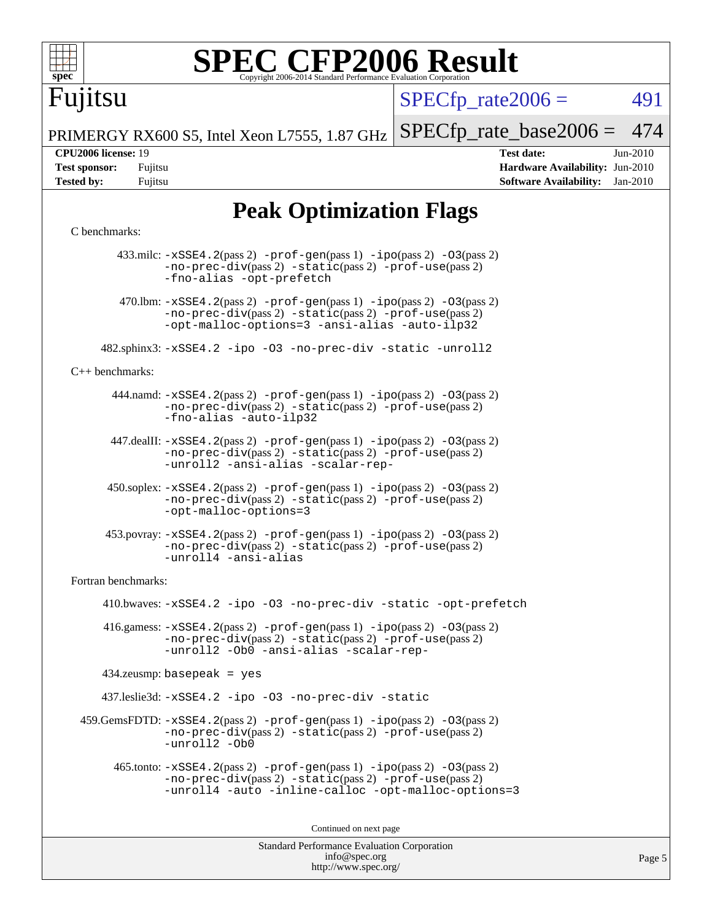

 $SPECTp\_rate2006 = 491$ 

PRIMERGY RX600 S5, Intel Xeon L7555, 1.87 GHz [SPECfp\\_rate\\_base2006 =](http://www.spec.org/auto/cpu2006/Docs/result-fields.html#SPECfpratebase2006) 474

Fujitsu

**[CPU2006 license:](http://www.spec.org/auto/cpu2006/Docs/result-fields.html#CPU2006license)** 19 **[Test date:](http://www.spec.org/auto/cpu2006/Docs/result-fields.html#Testdate)** Jun-2010 **[Test sponsor:](http://www.spec.org/auto/cpu2006/Docs/result-fields.html#Testsponsor)** Fujitsu **[Hardware Availability:](http://www.spec.org/auto/cpu2006/Docs/result-fields.html#HardwareAvailability)** Jun-2010 **[Tested by:](http://www.spec.org/auto/cpu2006/Docs/result-fields.html#Testedby)** Fujitsu **[Software Availability:](http://www.spec.org/auto/cpu2006/Docs/result-fields.html#SoftwareAvailability)** Jan-2010

## **[Peak Optimization Flags](http://www.spec.org/auto/cpu2006/Docs/result-fields.html#PeakOptimizationFlags)**

#### [C benchmarks](http://www.spec.org/auto/cpu2006/Docs/result-fields.html#Cbenchmarks):

 433.milc: [-xSSE4.2](http://www.spec.org/cpu2006/results/res2010q3/cpu2006-20100702-12052.flags.html#user_peakPASS2_CFLAGSPASS2_LDFLAGS433_milc_f-xSSE42_f91528193cf0b216347adb8b939d4107)(pass 2) [-prof-gen](http://www.spec.org/cpu2006/results/res2010q3/cpu2006-20100702-12052.flags.html#user_peakPASS1_CFLAGSPASS1_LDFLAGS433_milc_prof_gen_e43856698f6ca7b7e442dfd80e94a8fc)(pass 1) [-ipo](http://www.spec.org/cpu2006/results/res2010q3/cpu2006-20100702-12052.flags.html#user_peakPASS2_CFLAGSPASS2_LDFLAGS433_milc_f-ipo)(pass 2) [-O3](http://www.spec.org/cpu2006/results/res2010q3/cpu2006-20100702-12052.flags.html#user_peakPASS2_CFLAGSPASS2_LDFLAGS433_milc_f-O3)(pass 2) [-no-prec-div](http://www.spec.org/cpu2006/results/res2010q3/cpu2006-20100702-12052.flags.html#user_peakPASS2_CFLAGSPASS2_LDFLAGS433_milc_f-no-prec-div)(pass 2) [-static](http://www.spec.org/cpu2006/results/res2010q3/cpu2006-20100702-12052.flags.html#user_peakPASS2_CFLAGSPASS2_LDFLAGS433_milc_f-static)(pass 2) [-prof-use](http://www.spec.org/cpu2006/results/res2010q3/cpu2006-20100702-12052.flags.html#user_peakPASS2_CFLAGSPASS2_LDFLAGS433_milc_prof_use_bccf7792157ff70d64e32fe3e1250b55)(pass 2) [-fno-alias](http://www.spec.org/cpu2006/results/res2010q3/cpu2006-20100702-12052.flags.html#user_peakOPTIMIZE433_milc_f-no-alias_694e77f6c5a51e658e82ccff53a9e63a) [-opt-prefetch](http://www.spec.org/cpu2006/results/res2010q3/cpu2006-20100702-12052.flags.html#user_peakOPTIMIZE433_milc_f-opt-prefetch) 470.1bm:  $-xSSE4$ . 2(pass 2)  $-prof-gen(pass 1) -ipo(pass 2) -O3(pass 2)$  $-prof-gen(pass 1) -ipo(pass 2) -O3(pass 2)$  $-prof-gen(pass 1) -ipo(pass 2) -O3(pass 2)$  $-prof-gen(pass 1) -ipo(pass 2) -O3(pass 2)$  $-prof-gen(pass 1) -ipo(pass 2) -O3(pass 2)$  $-prof-gen(pass 1) -ipo(pass 2) -O3(pass 2)$ [-no-prec-div](http://www.spec.org/cpu2006/results/res2010q3/cpu2006-20100702-12052.flags.html#user_peakPASS2_CFLAGSPASS2_LDFLAGS470_lbm_f-no-prec-div)(pass 2) [-static](http://www.spec.org/cpu2006/results/res2010q3/cpu2006-20100702-12052.flags.html#user_peakPASS2_CFLAGSPASS2_LDFLAGS470_lbm_f-static)(pass 2) [-prof-use](http://www.spec.org/cpu2006/results/res2010q3/cpu2006-20100702-12052.flags.html#user_peakPASS2_CFLAGSPASS2_LDFLAGS470_lbm_prof_use_bccf7792157ff70d64e32fe3e1250b55)(pass 2) [-opt-malloc-options=3](http://www.spec.org/cpu2006/results/res2010q3/cpu2006-20100702-12052.flags.html#user_peakOPTIMIZE470_lbm_f-opt-malloc-options_13ab9b803cf986b4ee62f0a5998c2238) [-ansi-alias](http://www.spec.org/cpu2006/results/res2010q3/cpu2006-20100702-12052.flags.html#user_peakOPTIMIZE470_lbm_f-ansi-alias) [-auto-ilp32](http://www.spec.org/cpu2006/results/res2010q3/cpu2006-20100702-12052.flags.html#user_peakCOPTIMIZE470_lbm_f-auto-ilp32) 482.sphinx3: [-xSSE4.2](http://www.spec.org/cpu2006/results/res2010q3/cpu2006-20100702-12052.flags.html#user_peakOPTIMIZE482_sphinx3_f-xSSE42_f91528193cf0b216347adb8b939d4107) [-ipo](http://www.spec.org/cpu2006/results/res2010q3/cpu2006-20100702-12052.flags.html#user_peakOPTIMIZE482_sphinx3_f-ipo) [-O3](http://www.spec.org/cpu2006/results/res2010q3/cpu2006-20100702-12052.flags.html#user_peakOPTIMIZE482_sphinx3_f-O3) [-no-prec-div](http://www.spec.org/cpu2006/results/res2010q3/cpu2006-20100702-12052.flags.html#user_peakOPTIMIZE482_sphinx3_f-no-prec-div) [-static](http://www.spec.org/cpu2006/results/res2010q3/cpu2006-20100702-12052.flags.html#user_peakOPTIMIZE482_sphinx3_f-static) [-unroll2](http://www.spec.org/cpu2006/results/res2010q3/cpu2006-20100702-12052.flags.html#user_peakCOPTIMIZE482_sphinx3_f-unroll_784dae83bebfb236979b41d2422d7ec2) [C++ benchmarks:](http://www.spec.org/auto/cpu2006/Docs/result-fields.html#CXXbenchmarks) 444.namd: [-xSSE4.2](http://www.spec.org/cpu2006/results/res2010q3/cpu2006-20100702-12052.flags.html#user_peakPASS2_CXXFLAGSPASS2_LDFLAGS444_namd_f-xSSE42_f91528193cf0b216347adb8b939d4107)(pass 2) [-prof-gen](http://www.spec.org/cpu2006/results/res2010q3/cpu2006-20100702-12052.flags.html#user_peakPASS1_CXXFLAGSPASS1_LDFLAGS444_namd_prof_gen_e43856698f6ca7b7e442dfd80e94a8fc)(pass 1) [-ipo](http://www.spec.org/cpu2006/results/res2010q3/cpu2006-20100702-12052.flags.html#user_peakPASS2_CXXFLAGSPASS2_LDFLAGS444_namd_f-ipo)(pass 2) [-O3](http://www.spec.org/cpu2006/results/res2010q3/cpu2006-20100702-12052.flags.html#user_peakPASS2_CXXFLAGSPASS2_LDFLAGS444_namd_f-O3)(pass 2) [-no-prec-div](http://www.spec.org/cpu2006/results/res2010q3/cpu2006-20100702-12052.flags.html#user_peakPASS2_CXXFLAGSPASS2_LDFLAGS444_namd_f-no-prec-div)(pass 2) [-static](http://www.spec.org/cpu2006/results/res2010q3/cpu2006-20100702-12052.flags.html#user_peakPASS2_CXXFLAGSPASS2_LDFLAGS444_namd_f-static)(pass 2) [-prof-use](http://www.spec.org/cpu2006/results/res2010q3/cpu2006-20100702-12052.flags.html#user_peakPASS2_CXXFLAGSPASS2_LDFLAGS444_namd_prof_use_bccf7792157ff70d64e32fe3e1250b55)(pass 2) [-fno-alias](http://www.spec.org/cpu2006/results/res2010q3/cpu2006-20100702-12052.flags.html#user_peakCXXOPTIMIZE444_namd_f-no-alias_694e77f6c5a51e658e82ccff53a9e63a) [-auto-ilp32](http://www.spec.org/cpu2006/results/res2010q3/cpu2006-20100702-12052.flags.html#user_peakCXXOPTIMIZE444_namd_f-auto-ilp32) 447.dealII: [-xSSE4.2](http://www.spec.org/cpu2006/results/res2010q3/cpu2006-20100702-12052.flags.html#user_peakPASS2_CXXFLAGSPASS2_LDFLAGS447_dealII_f-xSSE42_f91528193cf0b216347adb8b939d4107)(pass 2) [-prof-gen](http://www.spec.org/cpu2006/results/res2010q3/cpu2006-20100702-12052.flags.html#user_peakPASS1_CXXFLAGSPASS1_LDFLAGS447_dealII_prof_gen_e43856698f6ca7b7e442dfd80e94a8fc)(pass 1) [-ipo](http://www.spec.org/cpu2006/results/res2010q3/cpu2006-20100702-12052.flags.html#user_peakPASS2_CXXFLAGSPASS2_LDFLAGS447_dealII_f-ipo)(pass 2) [-O3](http://www.spec.org/cpu2006/results/res2010q3/cpu2006-20100702-12052.flags.html#user_peakPASS2_CXXFLAGSPASS2_LDFLAGS447_dealII_f-O3)(pass 2) [-no-prec-div](http://www.spec.org/cpu2006/results/res2010q3/cpu2006-20100702-12052.flags.html#user_peakPASS2_CXXFLAGSPASS2_LDFLAGS447_dealII_f-no-prec-div)(pass 2) [-static](http://www.spec.org/cpu2006/results/res2010q3/cpu2006-20100702-12052.flags.html#user_peakPASS2_CXXFLAGSPASS2_LDFLAGS447_dealII_f-static)(pass 2) [-prof-use](http://www.spec.org/cpu2006/results/res2010q3/cpu2006-20100702-12052.flags.html#user_peakPASS2_CXXFLAGSPASS2_LDFLAGS447_dealII_prof_use_bccf7792157ff70d64e32fe3e1250b55)(pass 2) [-unroll2](http://www.spec.org/cpu2006/results/res2010q3/cpu2006-20100702-12052.flags.html#user_peakCXXOPTIMIZE447_dealII_f-unroll_784dae83bebfb236979b41d2422d7ec2) [-ansi-alias](http://www.spec.org/cpu2006/results/res2010q3/cpu2006-20100702-12052.flags.html#user_peakCXXOPTIMIZE447_dealII_f-ansi-alias) [-scalar-rep-](http://www.spec.org/cpu2006/results/res2010q3/cpu2006-20100702-12052.flags.html#user_peakCXXOPTIMIZE447_dealII_f-disablescalarrep_abbcad04450fb118e4809c81d83c8a1d) 450.soplex: [-xSSE4.2](http://www.spec.org/cpu2006/results/res2010q3/cpu2006-20100702-12052.flags.html#user_peakPASS2_CXXFLAGSPASS2_LDFLAGS450_soplex_f-xSSE42_f91528193cf0b216347adb8b939d4107)(pass 2) [-prof-gen](http://www.spec.org/cpu2006/results/res2010q3/cpu2006-20100702-12052.flags.html#user_peakPASS1_CXXFLAGSPASS1_LDFLAGS450_soplex_prof_gen_e43856698f6ca7b7e442dfd80e94a8fc)(pass 1) [-ipo](http://www.spec.org/cpu2006/results/res2010q3/cpu2006-20100702-12052.flags.html#user_peakPASS2_CXXFLAGSPASS2_LDFLAGS450_soplex_f-ipo)(pass 2) [-O3](http://www.spec.org/cpu2006/results/res2010q3/cpu2006-20100702-12052.flags.html#user_peakPASS2_CXXFLAGSPASS2_LDFLAGS450_soplex_f-O3)(pass 2) [-no-prec-div](http://www.spec.org/cpu2006/results/res2010q3/cpu2006-20100702-12052.flags.html#user_peakPASS2_CXXFLAGSPASS2_LDFLAGS450_soplex_f-no-prec-div)(pass 2) [-static](http://www.spec.org/cpu2006/results/res2010q3/cpu2006-20100702-12052.flags.html#user_peakPASS2_CXXFLAGSPASS2_LDFLAGS450_soplex_f-static)(pass 2) [-prof-use](http://www.spec.org/cpu2006/results/res2010q3/cpu2006-20100702-12052.flags.html#user_peakPASS2_CXXFLAGSPASS2_LDFLAGS450_soplex_prof_use_bccf7792157ff70d64e32fe3e1250b55)(pass 2) [-opt-malloc-options=3](http://www.spec.org/cpu2006/results/res2010q3/cpu2006-20100702-12052.flags.html#user_peakOPTIMIZE450_soplex_f-opt-malloc-options_13ab9b803cf986b4ee62f0a5998c2238) 453.povray: [-xSSE4.2](http://www.spec.org/cpu2006/results/res2010q3/cpu2006-20100702-12052.flags.html#user_peakPASS2_CXXFLAGSPASS2_LDFLAGS453_povray_f-xSSE42_f91528193cf0b216347adb8b939d4107)(pass 2) [-prof-gen](http://www.spec.org/cpu2006/results/res2010q3/cpu2006-20100702-12052.flags.html#user_peakPASS1_CXXFLAGSPASS1_LDFLAGS453_povray_prof_gen_e43856698f6ca7b7e442dfd80e94a8fc)(pass 1) [-ipo](http://www.spec.org/cpu2006/results/res2010q3/cpu2006-20100702-12052.flags.html#user_peakPASS2_CXXFLAGSPASS2_LDFLAGS453_povray_f-ipo)(pass 2) [-O3](http://www.spec.org/cpu2006/results/res2010q3/cpu2006-20100702-12052.flags.html#user_peakPASS2_CXXFLAGSPASS2_LDFLAGS453_povray_f-O3)(pass 2) [-no-prec-div](http://www.spec.org/cpu2006/results/res2010q3/cpu2006-20100702-12052.flags.html#user_peakPASS2_CXXFLAGSPASS2_LDFLAGS453_povray_f-no-prec-div)(pass 2) [-static](http://www.spec.org/cpu2006/results/res2010q3/cpu2006-20100702-12052.flags.html#user_peakPASS2_CXXFLAGSPASS2_LDFLAGS453_povray_f-static)(pass 2) [-prof-use](http://www.spec.org/cpu2006/results/res2010q3/cpu2006-20100702-12052.flags.html#user_peakPASS2_CXXFLAGSPASS2_LDFLAGS453_povray_prof_use_bccf7792157ff70d64e32fe3e1250b55)(pass 2) [-unroll4](http://www.spec.org/cpu2006/results/res2010q3/cpu2006-20100702-12052.flags.html#user_peakCXXOPTIMIZE453_povray_f-unroll_4e5e4ed65b7fd20bdcd365bec371b81f) [-ansi-alias](http://www.spec.org/cpu2006/results/res2010q3/cpu2006-20100702-12052.flags.html#user_peakCXXOPTIMIZE453_povray_f-ansi-alias) [Fortran benchmarks](http://www.spec.org/auto/cpu2006/Docs/result-fields.html#Fortranbenchmarks): 410.bwaves: [-xSSE4.2](http://www.spec.org/cpu2006/results/res2010q3/cpu2006-20100702-12052.flags.html#user_peakOPTIMIZE410_bwaves_f-xSSE42_f91528193cf0b216347adb8b939d4107) [-ipo](http://www.spec.org/cpu2006/results/res2010q3/cpu2006-20100702-12052.flags.html#user_peakOPTIMIZE410_bwaves_f-ipo) [-O3](http://www.spec.org/cpu2006/results/res2010q3/cpu2006-20100702-12052.flags.html#user_peakOPTIMIZE410_bwaves_f-O3) [-no-prec-div](http://www.spec.org/cpu2006/results/res2010q3/cpu2006-20100702-12052.flags.html#user_peakOPTIMIZE410_bwaves_f-no-prec-div) [-static](http://www.spec.org/cpu2006/results/res2010q3/cpu2006-20100702-12052.flags.html#user_peakOPTIMIZE410_bwaves_f-static) [-opt-prefetch](http://www.spec.org/cpu2006/results/res2010q3/cpu2006-20100702-12052.flags.html#user_peakOPTIMIZE410_bwaves_f-opt-prefetch) 416.gamess:  $-xSSE4$ . 2(pass 2)  $-prof-gen(pass 1) -ipo(pass 2) -O3(pass 2)$  $-prof-gen(pass 1) -ipo(pass 2) -O3(pass 2)$  $-prof-gen(pass 1) -ipo(pass 2) -O3(pass 2)$  $-prof-gen(pass 1) -ipo(pass 2) -O3(pass 2)$  $-prof-gen(pass 1) -ipo(pass 2) -O3(pass 2)$  $-prof-gen(pass 1) -ipo(pass 2) -O3(pass 2)$ [-no-prec-div](http://www.spec.org/cpu2006/results/res2010q3/cpu2006-20100702-12052.flags.html#user_peakPASS2_FFLAGSPASS2_LDFLAGS416_gamess_f-no-prec-div)(pass 2) [-static](http://www.spec.org/cpu2006/results/res2010q3/cpu2006-20100702-12052.flags.html#user_peakPASS2_FFLAGSPASS2_LDFLAGS416_gamess_f-static)(pass 2) [-prof-use](http://www.spec.org/cpu2006/results/res2010q3/cpu2006-20100702-12052.flags.html#user_peakPASS2_FFLAGSPASS2_LDFLAGS416_gamess_prof_use_bccf7792157ff70d64e32fe3e1250b55)(pass 2) [-unroll2](http://www.spec.org/cpu2006/results/res2010q3/cpu2006-20100702-12052.flags.html#user_peakOPTIMIZE416_gamess_f-unroll_784dae83bebfb236979b41d2422d7ec2) [-Ob0](http://www.spec.org/cpu2006/results/res2010q3/cpu2006-20100702-12052.flags.html#user_peakOPTIMIZE416_gamess_f-Ob_n_fbe6f6428adb7d4b74b1e99bb2444c2d) [-ansi-alias](http://www.spec.org/cpu2006/results/res2010q3/cpu2006-20100702-12052.flags.html#user_peakOPTIMIZE416_gamess_f-ansi-alias) [-scalar-rep-](http://www.spec.org/cpu2006/results/res2010q3/cpu2006-20100702-12052.flags.html#user_peakOPTIMIZE416_gamess_f-disablescalarrep_abbcad04450fb118e4809c81d83c8a1d) 434.zeusmp: basepeak = yes 437.leslie3d: [-xSSE4.2](http://www.spec.org/cpu2006/results/res2010q3/cpu2006-20100702-12052.flags.html#user_peakOPTIMIZE437_leslie3d_f-xSSE42_f91528193cf0b216347adb8b939d4107) [-ipo](http://www.spec.org/cpu2006/results/res2010q3/cpu2006-20100702-12052.flags.html#user_peakOPTIMIZE437_leslie3d_f-ipo) [-O3](http://www.spec.org/cpu2006/results/res2010q3/cpu2006-20100702-12052.flags.html#user_peakOPTIMIZE437_leslie3d_f-O3) [-no-prec-div](http://www.spec.org/cpu2006/results/res2010q3/cpu2006-20100702-12052.flags.html#user_peakOPTIMIZE437_leslie3d_f-no-prec-div) [-static](http://www.spec.org/cpu2006/results/res2010q3/cpu2006-20100702-12052.flags.html#user_peakOPTIMIZE437_leslie3d_f-static)  $459$ .GemsFDTD:  $-xSSE4$ .  $2(pass 2)$  [-prof-gen](http://www.spec.org/cpu2006/results/res2010q3/cpu2006-20100702-12052.flags.html#user_peakPASS1_FFLAGSPASS1_LDFLAGS459_GemsFDTD_prof_gen_e43856698f6ca7b7e442dfd80e94a8fc)(pass 1) [-ipo](http://www.spec.org/cpu2006/results/res2010q3/cpu2006-20100702-12052.flags.html#user_peakPASS2_FFLAGSPASS2_LDFLAGS459_GemsFDTD_f-ipo)(pass 2) -03(pass 2) [-no-prec-div](http://www.spec.org/cpu2006/results/res2010q3/cpu2006-20100702-12052.flags.html#user_peakPASS2_FFLAGSPASS2_LDFLAGS459_GemsFDTD_f-no-prec-div)(pass 2) [-static](http://www.spec.org/cpu2006/results/res2010q3/cpu2006-20100702-12052.flags.html#user_peakPASS2_FFLAGSPASS2_LDFLAGS459_GemsFDTD_f-static)(pass 2) [-prof-use](http://www.spec.org/cpu2006/results/res2010q3/cpu2006-20100702-12052.flags.html#user_peakPASS2_FFLAGSPASS2_LDFLAGS459_GemsFDTD_prof_use_bccf7792157ff70d64e32fe3e1250b55)(pass 2) [-unroll2](http://www.spec.org/cpu2006/results/res2010q3/cpu2006-20100702-12052.flags.html#user_peakOPTIMIZE459_GemsFDTD_f-unroll_784dae83bebfb236979b41d2422d7ec2) [-Ob0](http://www.spec.org/cpu2006/results/res2010q3/cpu2006-20100702-12052.flags.html#user_peakOPTIMIZE459_GemsFDTD_f-Ob_n_fbe6f6428adb7d4b74b1e99bb2444c2d) 465.tonto: [-xSSE4.2](http://www.spec.org/cpu2006/results/res2010q3/cpu2006-20100702-12052.flags.html#user_peakPASS2_FFLAGSPASS2_LDFLAGS465_tonto_f-xSSE42_f91528193cf0b216347adb8b939d4107)(pass 2) [-prof-gen](http://www.spec.org/cpu2006/results/res2010q3/cpu2006-20100702-12052.flags.html#user_peakPASS1_FFLAGSPASS1_LDFLAGS465_tonto_prof_gen_e43856698f6ca7b7e442dfd80e94a8fc)(pass 1) [-ipo](http://www.spec.org/cpu2006/results/res2010q3/cpu2006-20100702-12052.flags.html#user_peakPASS2_FFLAGSPASS2_LDFLAGS465_tonto_f-ipo)(pass 2) [-O3](http://www.spec.org/cpu2006/results/res2010q3/cpu2006-20100702-12052.flags.html#user_peakPASS2_FFLAGSPASS2_LDFLAGS465_tonto_f-O3)(pass 2) [-no-prec-div](http://www.spec.org/cpu2006/results/res2010q3/cpu2006-20100702-12052.flags.html#user_peakPASS2_FFLAGSPASS2_LDFLAGS465_tonto_f-no-prec-div)(pass 2) [-static](http://www.spec.org/cpu2006/results/res2010q3/cpu2006-20100702-12052.flags.html#user_peakPASS2_FFLAGSPASS2_LDFLAGS465_tonto_f-static)(pass 2) [-prof-use](http://www.spec.org/cpu2006/results/res2010q3/cpu2006-20100702-12052.flags.html#user_peakPASS2_FFLAGSPASS2_LDFLAGS465_tonto_prof_use_bccf7792157ff70d64e32fe3e1250b55)(pass 2) [-unroll4](http://www.spec.org/cpu2006/results/res2010q3/cpu2006-20100702-12052.flags.html#user_peakOPTIMIZE465_tonto_f-unroll_4e5e4ed65b7fd20bdcd365bec371b81f) [-auto](http://www.spec.org/cpu2006/results/res2010q3/cpu2006-20100702-12052.flags.html#user_peakOPTIMIZE465_tonto_f-auto) [-inline-calloc](http://www.spec.org/cpu2006/results/res2010q3/cpu2006-20100702-12052.flags.html#user_peakOPTIMIZE465_tonto_f-inline-calloc) [-opt-malloc-options=3](http://www.spec.org/cpu2006/results/res2010q3/cpu2006-20100702-12052.flags.html#user_peakOPTIMIZE465_tonto_f-opt-malloc-options_13ab9b803cf986b4ee62f0a5998c2238) Continued on next page